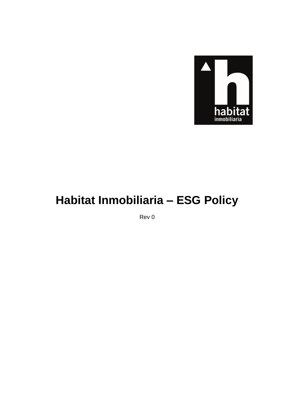

# Habitat Inmobiliaria - ESG Policy

Rev 0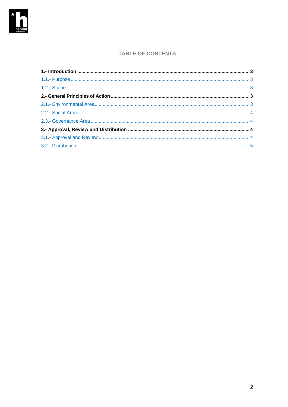

### **TABLE OF CONTENTS**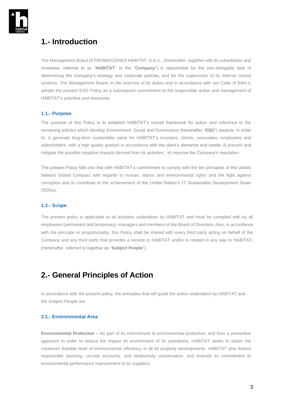

### <span id="page-2-0"></span>**1.- Introduction**

The Management Board of PROMOCIONES HABITAT, S.A.U., (hereinafter, together with its subsidiaries and investees, referred to as "**HABITAT**" or the "**Company**") is responsible for the non-delegable task of determining the Company's strategy and corporate policies, and for the supervision of its internal control systems. The Management Board, in the exercise of its duties and in accordance with our Code of Ethics, adopts the present ESG Policy as a subsequent commitment to the responsible action and management of HABITAT's activities and resources.

#### <span id="page-2-1"></span>**1.1.- Purpose**

The purpose of this Policy is to establish HABITAT's overall framework for action and reference to the remaining policies which develop Environment, Social and Governance (hereinafter "**ESG**") aspects, in order to: i) generate long-term sustainable value for HABITAT's investors, clients, associates, employees and stakeholders, with a high quality product in accordance with the client's demands and needs; ii) prevent and mitigate the possible negative impacts derived from its activities; iii) improve the Company's reputation.

The present Policy falls into line with HABITAT's commitment to comply with the ten principles of the United Nations Global Compact with regards to human, labour and environmental rights and the fight against corruption and to contribute to the achievement of the United Nation's 17 Sustainable Development Goals (SDGs),

#### <span id="page-2-2"></span>**1.2.- Scope**

The present policy is applicable to all activities undertaken by HABITAT and must be complied with by all employees (permanent and temporary), managers and members of the Board of Directors. Also, in accordance with the principle or proportionality, this Policy shall be shared with every third party acting on behalf of the Company and any third party that provides a service to HABITAT and/or is related in any way to HABITAT, (hereinafter, referred to together as "**Subject People**").

### <span id="page-2-3"></span>**2.- General Principles of Action**

In accordance with the present policy, the principles that will guide the action undertaken by HABITAT and the Subject People are:

#### <span id="page-2-4"></span>**2.1.- Environmental Area**

**Environmental Protection** – As part of its commitment to environmental protection, and from a preventive approach in order to reduce the impact on environment of its operations, HABITAT seeks to obtain the maximum feasible level of environmental efficiency in all its property developments. HABITAT also fosters responsible sourcing, circular economy, and biodiversity conservation; and extends its commitment to environmental performance improvement to its suppliers.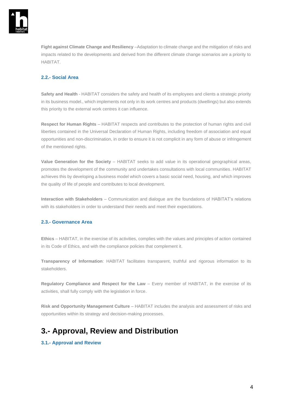

**Fight against Climate Change and Resiliency** –Adaptation to climate change and the mitigation of risks and impacts related to the developments and derived from the different climate change scenarios are a priority to HABITAT.

#### <span id="page-3-0"></span>**2.2.- Social Area**

**Safety and Health** - HABITAT considers the safety and health of its employees and clients a strategic priority in its business model., which implements not only in its work centres and products (dwellings) but also extends this priority to the external work centres it can influence.

**Respect for Human Rights** – HABITAT respects and contributes to the protection of human rights and civil liberties contained in the Universal Declaration of Human Rights, including freedom of association and equal opportunities and non-discrimination, in order to ensure it is not complicit in any form of abuse or infringement of the mentioned rights.

**Value Generation for the Society** – HABITAT seeks to add value in its operational geographical areas, promotes the development of the community and undertakes consultations with local communities. HABITAT achieves this by developing a business model which covers a basic social need, housing, and which improves the quality of life of people and contributes to local development.

**Interaction with Stakeholders** – Communication and dialogue are the foundations of HABITAT's relations with its stakeholders in order to understand their needs and meet their expectations.

#### <span id="page-3-1"></span>**2.3.- Governance Area**

**Ethics** – HABITAT, in the exercise of its activities, complies with the values and principles of action contained in its Code of Ethics, and with the compliance policies that complement it.

**Transparency of Information**: HABITAT facilitates transparent, truthful and rigorous information to its stakeholders.

**Regulatory Compliance and Respect for the Law** – Every member of HABITAT, in the exercise of its activities, shall fully comply with the legislation in force.

**Risk and Opportunity Management Culture** – HABITAT includes the analysis and assessment of risks and opportunities within its strategy and decision-making processes.

## <span id="page-3-2"></span>**3.- Approval, Review and Distribution**

#### <span id="page-3-3"></span>**3.1.- Approval and Review**